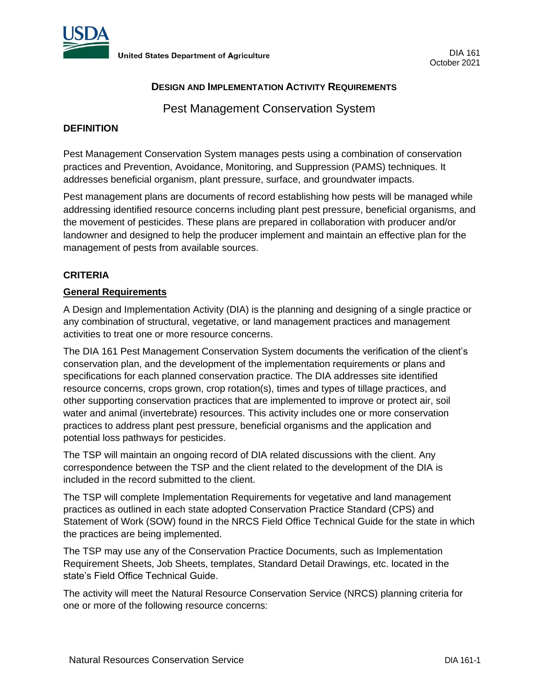

# **DESIGN AND IMPLEMENTATION ACTIVITY REQUIREMENTS**

Pest Management Conservation System

## **DEFINITION**

Pest Management Conservation System manages pests using a combination of conservation practices and Prevention, Avoidance, Monitoring, and Suppression (PAMS) techniques. It addresses beneficial organism, plant pressure, surface, and groundwater impacts.

Pest management plans are documents of record establishing how pests will be managed while addressing identified resource concerns including plant pest pressure, beneficial organisms, and the movement of pesticides. These plans are prepared in collaboration with producer and/or landowner and designed to help the producer implement and maintain an effective plan for the management of pests from available sources.

# **CRITERIA**

#### **General Requirements**

A Design and Implementation Activity (DIA) is the planning and designing of a single practice or any combination of structural, vegetative, or land management practices and management activities to treat one or more resource concerns.

The DIA 161 Pest Management Conservation System documents the verification of the client's conservation plan, and the development of the implementation requirements or plans and specifications for each planned conservation practice. The DIA addresses site identified resource concerns, crops grown, crop rotation(s), times and types of tillage practices, and other supporting conservation practices that are implemented to improve or protect air, soil water and animal (invertebrate) resources. This activity includes one or more conservation practices to address plant pest pressure, beneficial organisms and the application and potential loss pathways for pesticides.

The TSP will maintain an ongoing record of DIA related discussions with the client. Any correspondence between the TSP and the client related to the development of the DIA is included in the record submitted to the client.

The TSP will complete Implementation Requirements for vegetative and land management practices as outlined in each state adopted Conservation Practice Standard (CPS) and Statement of Work (SOW) found in the NRCS Field Office Technical Guide for the state in which the practices are being implemented.

The TSP may use any of the Conservation Practice Documents, such as Implementation Requirement Sheets, Job Sheets, templates, Standard Detail Drawings, etc. located in the state's Field Office Technical Guide.

The activity will meet the Natural Resource Conservation Service (NRCS) planning criteria for one or more of the following resource concerns: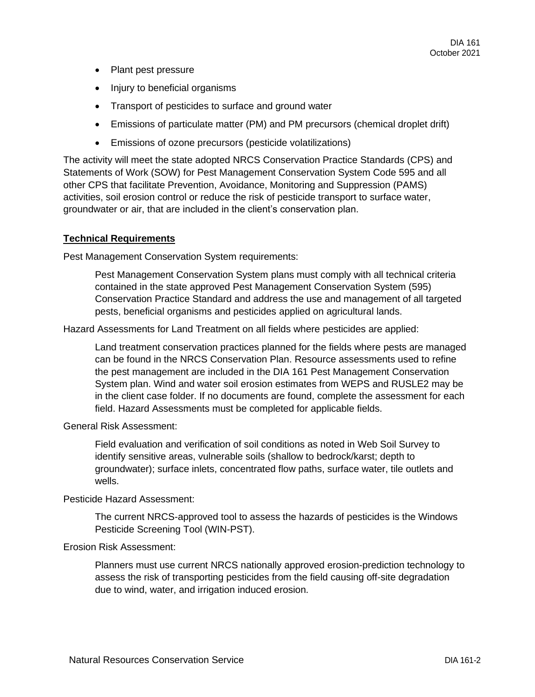- Plant pest pressure
- Injury to beneficial organisms
- Transport of pesticides to surface and ground water
- Emissions of particulate matter (PM) and PM precursors (chemical droplet drift)
- Emissions of ozone precursors (pesticide volatilizations)

The activity will meet the state adopted NRCS Conservation Practice Standards (CPS) and Statements of Work (SOW) for Pest Management Conservation System Code 595 and all other CPS that facilitate Prevention, Avoidance, Monitoring and Suppression (PAMS) activities, soil erosion control or reduce the risk of pesticide transport to surface water, groundwater or air, that are included in the client's conservation plan.

#### **Technical Requirements**

Pest Management Conservation System requirements:

Pest Management Conservation System plans must comply with all technical criteria contained in the state approved Pest Management Conservation System (595) Conservation Practice Standard and address the use and management of all targeted pests, beneficial organisms and pesticides applied on agricultural lands.

Hazard Assessments for Land Treatment on all fields where pesticides are applied:

Land treatment conservation practices planned for the fields where pests are managed can be found in the NRCS Conservation Plan. Resource assessments used to refine the pest management are included in the DIA 161 Pest Management Conservation System plan. Wind and water soil erosion estimates from WEPS and RUSLE2 may be in the client case folder. If no documents are found, complete the assessment for each field. Hazard Assessments must be completed for applicable fields.

General Risk Assessment:

Field evaluation and verification of soil conditions as noted in Web Soil Survey to identify sensitive areas, vulnerable soils (shallow to bedrock/karst; depth to groundwater); surface inlets, concentrated flow paths, surface water, tile outlets and wells.

## Pesticide Hazard Assessment:

The current NRCS-approved tool to assess the hazards of pesticides is the Windows Pesticide Screening Tool (WIN-PST).

### Erosion Risk Assessment:

Planners must use current NRCS nationally approved erosion-prediction technology to assess the risk of transporting pesticides from the field causing off-site degradation due to wind, water, and irrigation induced erosion.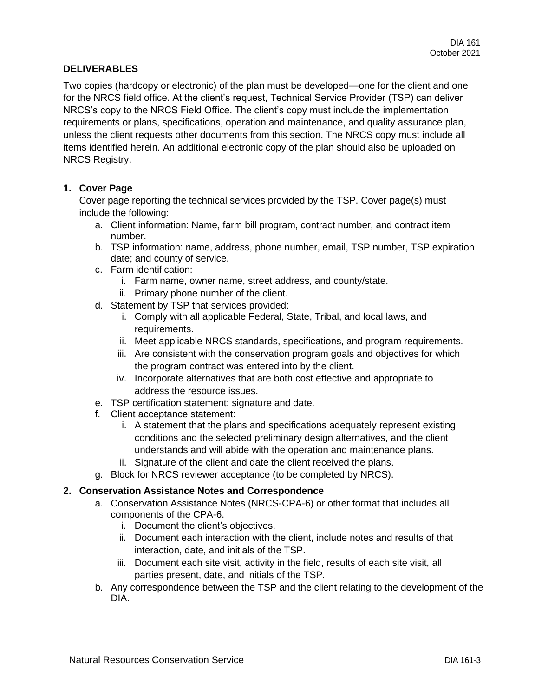### **DELIVERABLES**

Two copies (hardcopy or electronic) of the plan must be developed—one for the client and one for the NRCS field office. At the client's request, Technical Service Provider (TSP) can deliver NRCS's copy to the NRCS Field Office. The client's copy must include the implementation requirements or plans, specifications, operation and maintenance, and quality assurance plan, unless the client requests other documents from this section. The NRCS copy must include all items identified herein. An additional electronic copy of the plan should also be uploaded on NRCS Registry.

### **1. Cover Page**

Cover page reporting the technical services provided by the TSP. Cover page(s) must include the following:

- a. Client information: Name, farm bill program, contract number, and contract item number.
- b. TSP information: name, address, phone number, email, TSP number, TSP expiration date; and county of service.
- c. Farm identification:
	- i. Farm name, owner name, street address, and county/state.
	- ii. Primary phone number of the client.
- d. Statement by TSP that services provided:
	- i. Comply with all applicable Federal, State, Tribal, and local laws, and requirements.
	- ii. Meet applicable NRCS standards, specifications, and program requirements.
	- iii. Are consistent with the conservation program goals and objectives for which the program contract was entered into by the client.
	- iv. Incorporate alternatives that are both cost effective and appropriate to address the resource issues.
- e. TSP certification statement: signature and date.
- f. Client acceptance statement:
	- i. A statement that the plans and specifications adequately represent existing conditions and the selected preliminary design alternatives, and the client understands and will abide with the operation and maintenance plans.
	- ii. Signature of the client and date the client received the plans.
- g. Block for NRCS reviewer acceptance (to be completed by NRCS).

### **2. Conservation Assistance Notes and Correspondence**

- a. Conservation Assistance Notes (NRCS-CPA-6) or other format that includes all components of the CPA-6.
	- i. Document the client's objectives.
	- ii. Document each interaction with the client, include notes and results of that interaction, date, and initials of the TSP.
	- iii. Document each site visit, activity in the field, results of each site visit, all parties present, date, and initials of the TSP.
- b. Any correspondence between the TSP and the client relating to the development of the DIA.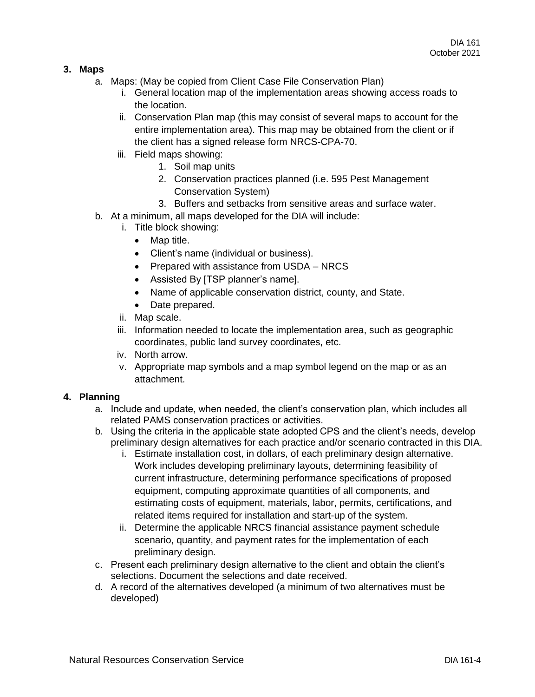### **3. Maps**

- a. Maps: (May be copied from Client Case File Conservation Plan)
	- i. General location map of the implementation areas showing access roads to the location.
	- ii. Conservation Plan map (this may consist of several maps to account for the entire implementation area). This map may be obtained from the client or if the client has a signed release form NRCS-CPA-70.
	- iii. Field maps showing:
		- 1. Soil map units
		- 2. Conservation practices planned (i.e. 595 Pest Management Conservation System)
		- 3. Buffers and setbacks from sensitive areas and surface water.
- b. At a minimum, all maps developed for the DIA will include:
	- i. Title block showing:
		- Map title.
		- Client's name (individual or business).
		- Prepared with assistance from USDA NRCS
		- Assisted By [TSP planner's name].
		- Name of applicable conservation district, county, and State.
		- Date prepared.
	- ii. Map scale.
	- iii. Information needed to locate the implementation area, such as geographic coordinates, public land survey coordinates, etc.
	- iv. North arrow.
	- v. Appropriate map symbols and a map symbol legend on the map or as an attachment.

#### **4. Planning**

- a. Include and update, when needed, the client's conservation plan, which includes all related PAMS conservation practices or activities.
- b. Using the criteria in the applicable state adopted CPS and the client's needs, develop preliminary design alternatives for each practice and/or scenario contracted in this DIA.
	- i. Estimate installation cost, in dollars, of each preliminary design alternative. Work includes developing preliminary layouts, determining feasibility of current infrastructure, determining performance specifications of proposed equipment, computing approximate quantities of all components, and estimating costs of equipment, materials, labor, permits, certifications, and related items required for installation and start-up of the system.
	- ii. Determine the applicable NRCS financial assistance payment schedule scenario, quantity, and payment rates for the implementation of each preliminary design.
- c. Present each preliminary design alternative to the client and obtain the client's selections. Document the selections and date received.
- d. A record of the alternatives developed (a minimum of two alternatives must be developed)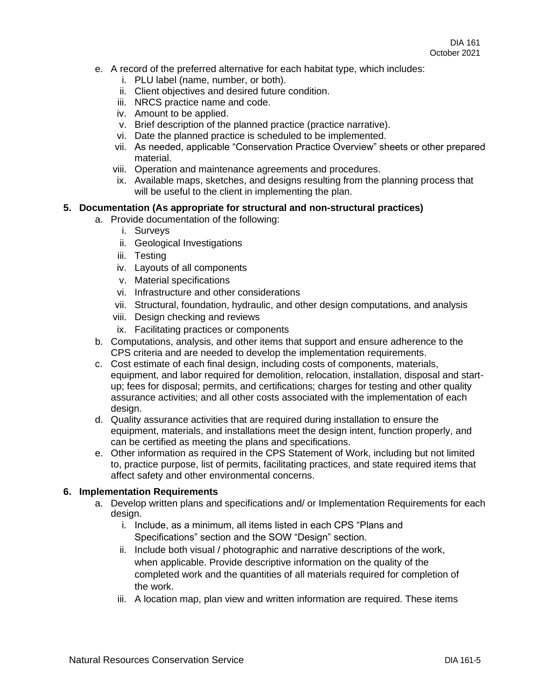- e. A record of the preferred alternative for each habitat type, which includes:
	- i. PLU label (name, number, or both).
	- ii. Client objectives and desired future condition.
	- iii. NRCS practice name and code.
	- iv. Amount to be applied.
	- v. Brief description of the planned practice (practice narrative).
	- vi. Date the planned practice is scheduled to be implemented.
	- vii. As needed, applicable "Conservation Practice Overview" sheets or other prepared material.
	- viii. Operation and maintenance agreements and procedures.
	- ix. Available maps, sketches, and designs resulting from the planning process that will be useful to the client in implementing the plan.

### **5. Documentation (As appropriate for structural and non-structural practices)**

- a. Provide documentation of the following:
	- i. Surveys
	- ii. Geological Investigations
	- iii. Testing
	- iv. Layouts of all components
	- v. Material specifications
	- vi. Infrastructure and other considerations
	- vii. Structural, foundation, hydraulic, and other design computations, and analysis
	- viii. Design checking and reviews
	- ix. Facilitating practices or components
- b. Computations, analysis, and other items that support and ensure adherence to the CPS criteria and are needed to develop the implementation requirements.
- c. Cost estimate of each final design, including costs of components, materials, equipment, and labor required for demolition, relocation, installation, disposal and startup; fees for disposal; permits, and certifications; charges for testing and other quality assurance activities; and all other costs associated with the implementation of each design.
- d. Quality assurance activities that are required during installation to ensure the equipment, materials, and installations meet the design intent, function properly, and can be certified as meeting the plans and specifications.
- e. Other information as required in the CPS Statement of Work, including but not limited to, practice purpose, list of permits, facilitating practices, and state required items that affect safety and other environmental concerns.

#### **6. Implementation Requirements**

- a. Develop written plans and specifications and/ or Implementation Requirements for each design.
	- i. Include, as a minimum, all items listed in each CPS "Plans and Specifications" section and the SOW "Design" section.
	- ii. Include both visual / photographic and narrative descriptions of the work, when applicable. Provide descriptive information on the quality of the completed work and the quantities of all materials required for completion of the work.
	- iii. A location map, plan view and written information are required. These items